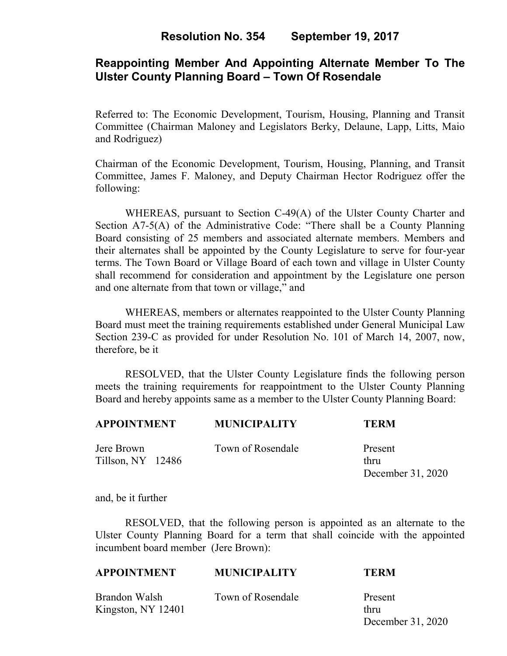# **Reappointing Member And Appointing Alternate Member To The Ulster County Planning Board – Town Of Rosendale**

Referred to: The Economic Development, Tourism, Housing, Planning and Transit Committee (Chairman Maloney and Legislators Berky, Delaune, Lapp, Litts, Maio and Rodriguez)

Chairman of the Economic Development, Tourism, Housing, Planning, and Transit Committee, James F. Maloney, and Deputy Chairman Hector Rodriguez offer the following:

WHEREAS, pursuant to Section C-49(A) of the Ulster County Charter and Section A7-5(A) of the Administrative Code: "There shall be a County Planning Board consisting of 25 members and associated alternate members. Members and their alternates shall be appointed by the County Legislature to serve for four-year terms. The Town Board or Village Board of each town and village in Ulster County shall recommend for consideration and appointment by the Legislature one person and one alternate from that town or village," and

WHEREAS, members or alternates reappointed to the Ulster County Planning Board must meet the training requirements established under General Municipal Law Section 239-C as provided for under Resolution No. 101 of March 14, 2007, now, therefore, be it

 RESOLVED, that the Ulster County Legislature finds the following person meets the training requirements for reappointment to the Ulster County Planning Board and hereby appoints same as a member to the Ulster County Planning Board:

| <b>APPOINTMENT</b>                | <b>MUNICIPALITY</b> | TERM                            |
|-----------------------------------|---------------------|---------------------------------|
| Jere Brown<br>Tillson, $NY$ 12486 | Town of Rosendale   | Present<br>thru<br>December 31, |

and, be it further

RESOLVED, that the following person is appointed as an alternate to the Ulster County Planning Board for a term that shall coincide with the appointed incumbent board member (Jere Brown):

20<sub>20</sub>

| <b>APPOINTMENT</b>                  | <b>MUNICIPALITY</b> | TERM                                 |
|-------------------------------------|---------------------|--------------------------------------|
| Brandon Walsh<br>Kingston, NY 12401 | Town of Rosendale   | Present<br>thru<br>December 31, 2020 |